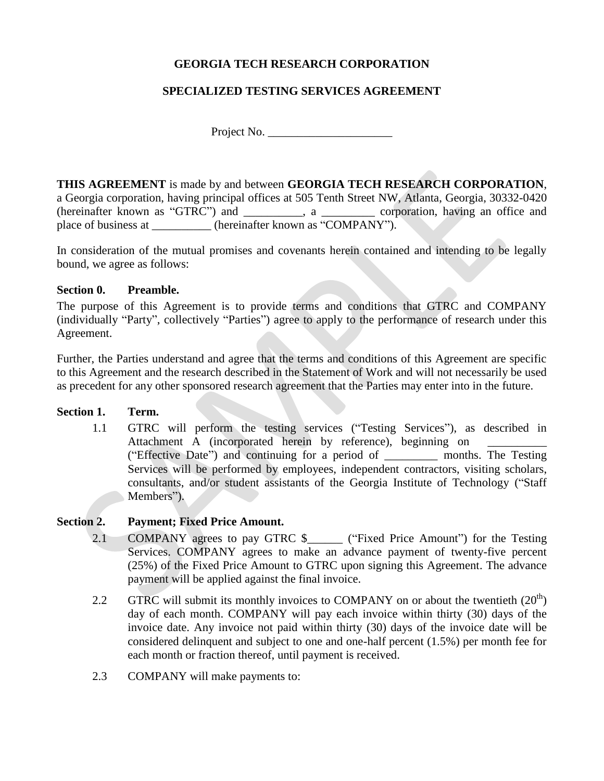## **GEORGIA TECH RESEARCH CORPORATION**

## **SPECIALIZED TESTING SERVICES AGREEMENT**

Project No. \_\_\_\_\_\_\_\_\_\_\_\_\_\_\_\_\_\_\_\_\_

**THIS AGREEMENT** is made by and between **GEORGIA TECH RESEARCH CORPORATION**, a Georgia corporation, having principal offices at 505 Tenth Street NW, Atlanta, Georgia, 30332-0420 (hereinafter known as "GTRC") and \_\_\_\_\_\_\_\_\_\_, a \_\_\_\_\_\_\_\_\_ corporation, having an office and place of business at \_\_\_\_\_\_\_\_\_\_ (hereinafter known as "COMPANY").

In consideration of the mutual promises and covenants herein contained and intending to be legally bound, we agree as follows:

#### **Section 0. Preamble.**

The purpose of this Agreement is to provide terms and conditions that GTRC and COMPANY (individually "Party", collectively "Parties") agree to apply to the performance of research under this Agreement.

Further, the Parties understand and agree that the terms and conditions of this Agreement are specific to this Agreement and the research described in the Statement of Work and will not necessarily be used as precedent for any other sponsored research agreement that the Parties may enter into in the future.

#### **Section 1. Term.**

1.1 GTRC will perform the testing services ("Testing Services"), as described in Attachment A (incorporated herein by reference), beginning on ("Effective Date") and continuing for a period of \_\_\_\_\_\_\_\_\_ months. The Testing Services will be performed by employees, independent contractors, visiting scholars, consultants, and/or student assistants of the Georgia Institute of Technology ("Staff Members").

#### **Section 2. Payment; Fixed Price Amount.**

- 2.1 COMPANY agrees to pay GTRC \$ ("Fixed Price Amount") for the Testing Services. COMPANY agrees to make an advance payment of twenty-five percent (25%) of the Fixed Price Amount to GTRC upon signing this Agreement. The advance payment will be applied against the final invoice.
- 2.2 GTRC will submit its monthly invoices to COMPANY on or about the twentieth  $(20<sup>th</sup>)$ day of each month. COMPANY will pay each invoice within thirty (30) days of the invoice date. Any invoice not paid within thirty (30) days of the invoice date will be considered delinquent and subject to one and one-half percent (1.5%) per month fee for each month or fraction thereof, until payment is received.
- 2.3 COMPANY will make payments to: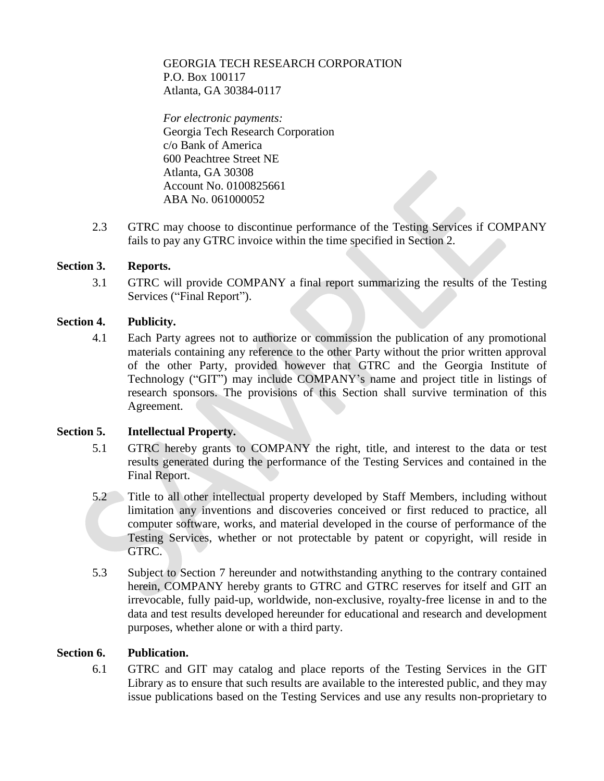## GEORGIA TECH RESEARCH CORPORATION P.O. Box 100117 Atlanta, GA 30384-0117

*For electronic payments:* Georgia Tech Research Corporation c/o Bank of America 600 Peachtree Street NE Atlanta, GA 30308 Account No. 0100825661 ABA No. 061000052

2.3 GTRC may choose to discontinue performance of the Testing Services if COMPANY fails to pay any GTRC invoice within the time specified in Section 2.

## **Section 3. Reports.**

3.1 GTRC will provide COMPANY a final report summarizing the results of the Testing Services ("Final Report").

#### **Section 4. Publicity.**

4.1 Each Party agrees not to authorize or commission the publication of any promotional materials containing any reference to the other Party without the prior written approval of the other Party, provided however that GTRC and the Georgia Institute of Technology ("GIT") may include COMPANY's name and project title in listings of research sponsors. The provisions of this Section shall survive termination of this Agreement.

#### **Section 5. Intellectual Property.**

- 5.1 GTRC hereby grants to COMPANY the right, title, and interest to the data or test results generated during the performance of the Testing Services and contained in the Final Report.
- 5.2 Title to all other intellectual property developed by Staff Members, including without limitation any inventions and discoveries conceived or first reduced to practice, all computer software, works, and material developed in the course of performance of the Testing Services, whether or not protectable by patent or copyright, will reside in GTRC.
- 5.3 Subject to Section 7 hereunder and notwithstanding anything to the contrary contained herein, COMPANY hereby grants to GTRC and GTRC reserves for itself and GIT an irrevocable, fully paid-up, worldwide, non-exclusive, royalty-free license in and to the data and test results developed hereunder for educational and research and development purposes, whether alone or with a third party.

#### **Section 6. Publication.**

6.1 GTRC and GIT may catalog and place reports of the Testing Services in the GIT Library as to ensure that such results are available to the interested public, and they may issue publications based on the Testing Services and use any results non-proprietary to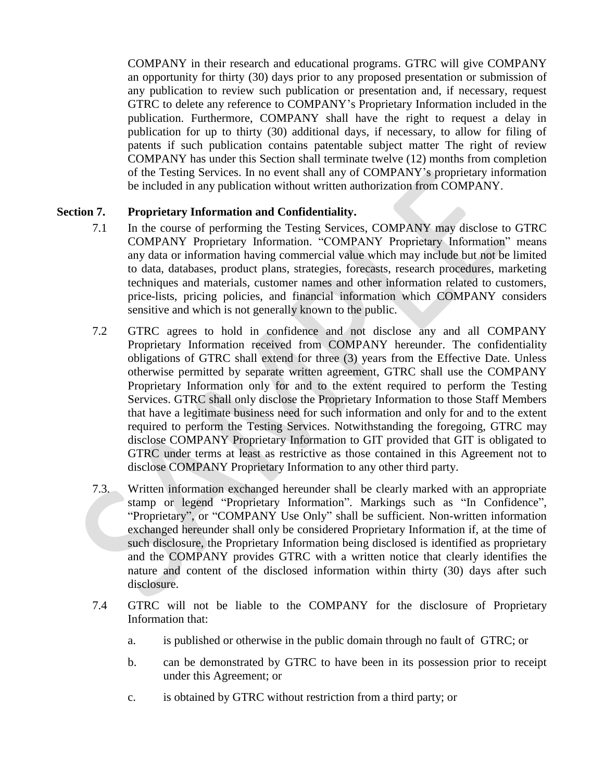COMPANY in their research and educational programs. GTRC will give COMPANY an opportunity for thirty (30) days prior to any proposed presentation or submission of any publication to review such publication or presentation and, if necessary, request GTRC to delete any reference to COMPANY's Proprietary Information included in the publication. Furthermore, COMPANY shall have the right to request a delay in publication for up to thirty (30) additional days, if necessary, to allow for filing of patents if such publication contains patentable subject matter The right of review COMPANY has under this Section shall terminate twelve (12) months from completion of the Testing Services. In no event shall any of COMPANY's proprietary information be included in any publication without written authorization from COMPANY.

## **Section 7. Proprietary Information and Confidentiality.**

- 7.1 In the course of performing the Testing Services, COMPANY may disclose to GTRC COMPANY Proprietary Information. "COMPANY Proprietary Information" means any data or information having commercial value which may include but not be limited to data, databases, product plans, strategies, forecasts, research procedures, marketing techniques and materials, customer names and other information related to customers, price-lists, pricing policies, and financial information which COMPANY considers sensitive and which is not generally known to the public.
- 7.2 GTRC agrees to hold in confidence and not disclose any and all COMPANY Proprietary Information received from COMPANY hereunder. The confidentiality obligations of GTRC shall extend for three (3) years from the Effective Date. Unless otherwise permitted by separate written agreement, GTRC shall use the COMPANY Proprietary Information only for and to the extent required to perform the Testing Services. GTRC shall only disclose the Proprietary Information to those Staff Members that have a legitimate business need for such information and only for and to the extent required to perform the Testing Services. Notwithstanding the foregoing, GTRC may disclose COMPANY Proprietary Information to GIT provided that GIT is obligated to GTRC under terms at least as restrictive as those contained in this Agreement not to disclose COMPANY Proprietary Information to any other third party.
- 7.3. Written information exchanged hereunder shall be clearly marked with an appropriate stamp or legend "Proprietary Information". Markings such as "In Confidence", "Proprietary", or "COMPANY Use Only" shall be sufficient. Non-written information exchanged hereunder shall only be considered Proprietary Information if, at the time of such disclosure, the Proprietary Information being disclosed is identified as proprietary and the COMPANY provides GTRC with a written notice that clearly identifies the nature and content of the disclosed information within thirty (30) days after such disclosure.
- 7.4 GTRC will not be liable to the COMPANY for the disclosure of Proprietary Information that:
	- a. is published or otherwise in the public domain through no fault of GTRC; or
	- b. can be demonstrated by GTRC to have been in its possession prior to receipt under this Agreement; or
	- c. is obtained by GTRC without restriction from a third party; or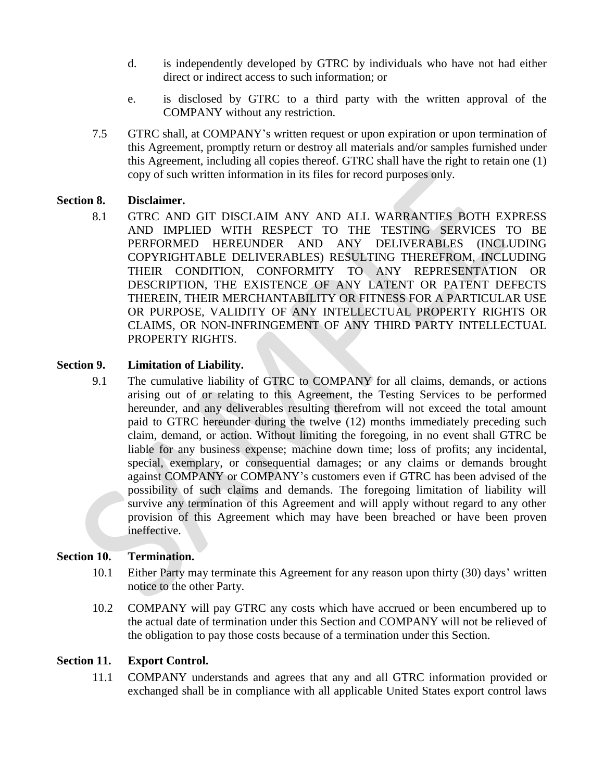- d. is independently developed by GTRC by individuals who have not had either direct or indirect access to such information; or
- e. is disclosed by GTRC to a third party with the written approval of the COMPANY without any restriction.
- 7.5 GTRC shall, at COMPANY's written request or upon expiration or upon termination of this Agreement, promptly return or destroy all materials and/or samples furnished under this Agreement, including all copies thereof. GTRC shall have the right to retain one (1) copy of such written information in its files for record purposes only.

## **Section 8. Disclaimer.**

8.1 GTRC AND GIT DISCLAIM ANY AND ALL WARRANTIES BOTH EXPRESS AND IMPLIED WITH RESPECT TO THE TESTING SERVICES TO BE PERFORMED HEREUNDER AND ANY DELIVERABLES (INCLUDING COPYRIGHTABLE DELIVERABLES) RESULTING THEREFROM, INCLUDING THEIR CONDITION, CONFORMITY TO ANY REPRESENTATION OR DESCRIPTION, THE EXISTENCE OF ANY LATENT OR PATENT DEFECTS THEREIN, THEIR MERCHANTABILITY OR FITNESS FOR A PARTICULAR USE OR PURPOSE, VALIDITY OF ANY INTELLECTUAL PROPERTY RIGHTS OR CLAIMS, OR NON-INFRINGEMENT OF ANY THIRD PARTY INTELLECTUAL PROPERTY RIGHTS.

## **Section 9. Limitation of Liability.**

9.1 The cumulative liability of GTRC to COMPANY for all claims, demands, or actions arising out of or relating to this Agreement, the Testing Services to be performed hereunder, and any deliverables resulting therefrom will not exceed the total amount paid to GTRC hereunder during the twelve (12) months immediately preceding such claim, demand, or action. Without limiting the foregoing, in no event shall GTRC be liable for any business expense; machine down time; loss of profits; any incidental, special, exemplary, or consequential damages; or any claims or demands brought against COMPANY or COMPANY's customers even if GTRC has been advised of the possibility of such claims and demands. The foregoing limitation of liability will survive any termination of this Agreement and will apply without regard to any other provision of this Agreement which may have been breached or have been proven ineffective.

#### **Section 10. Termination.**

- 10.1 Either Party may terminate this Agreement for any reason upon thirty (30) days' written notice to the other Party.
- 10.2 COMPANY will pay GTRC any costs which have accrued or been encumbered up to the actual date of termination under this Section and COMPANY will not be relieved of the obligation to pay those costs because of a termination under this Section.

## **Section 11. Export Control.**

11.1 COMPANY understands and agrees that any and all GTRC information provided or exchanged shall be in compliance with all applicable United States export control laws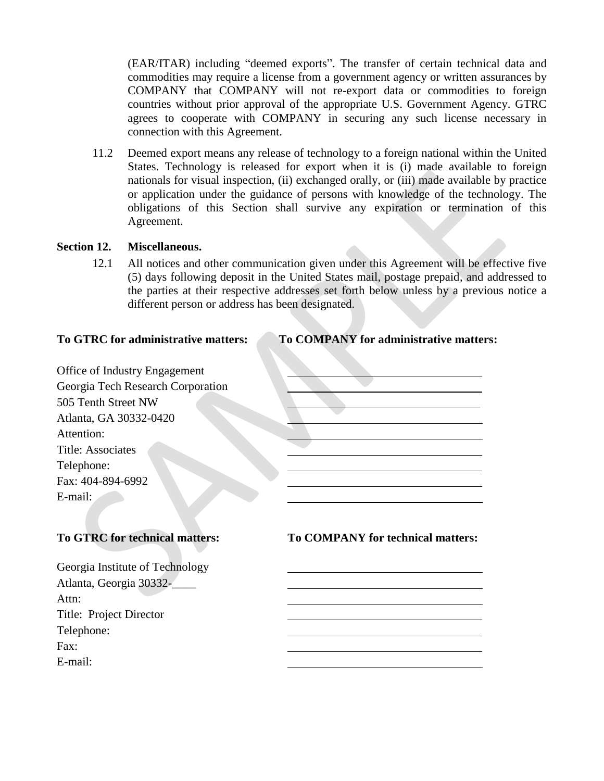(EAR/ITAR) including "deemed exports". The transfer of certain technical data and commodities may require a license from a government agency or written assurances by COMPANY that COMPANY will not re-export data or commodities to foreign countries without prior approval of the appropriate U.S. Government Agency. GTRC agrees to cooperate with COMPANY in securing any such license necessary in connection with this Agreement.

11.2 Deemed export means any release of technology to a foreign national within the United States. Technology is released for export when it is (i) made available to foreign nationals for visual inspection, (ii) exchanged orally, or (iii) made available by practice or application under the guidance of persons with knowledge of the technology. The obligations of this Section shall survive any expiration or termination of this Agreement.

#### **Section 12. Miscellaneous.**

12.1 All notices and other communication given under this Agreement will be effective five (5) days following deposit in the United States mail, postage prepaid, and addressed to the parties at their respective addresses set forth below unless by a previous notice a different person or address has been designated.

# **To GTRC for administrative matters: To COMPANY for administrative matters:**

| Office of Industry Engagement         |                                          |
|---------------------------------------|------------------------------------------|
| Georgia Tech Research Corporation     |                                          |
| 505 Tenth Street NW                   |                                          |
| Atlanta, GA 30332-0420                |                                          |
| Attention:                            |                                          |
| <b>Title: Associates</b>              |                                          |
| Telephone:                            |                                          |
| Fax: 404-894-6992                     |                                          |
| E-mail:                               |                                          |
|                                       |                                          |
|                                       |                                          |
| <b>To GTRC for technical matters:</b> | <b>To COMPANY for technical matters:</b> |
| Georgia Institute of Technology       |                                          |
|                                       |                                          |
| Atlanta, Georgia 30332-               |                                          |
| Attn:                                 |                                          |
| Title: Project Director               |                                          |
| — 1 1                                 |                                          |

Telephone:

Fax: The contract of the contract of the contract of the contract of the contract of the contract of the contract of the contract of the contract of the contract of the contract of the contract of the contract of the contr

E-mail: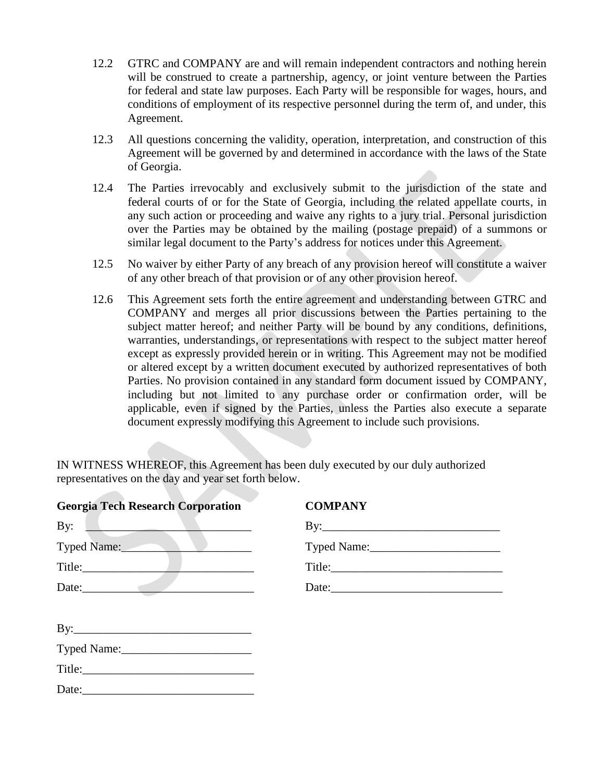- 12.2 GTRC and COMPANY are and will remain independent contractors and nothing herein will be construed to create a partnership, agency, or joint venture between the Parties for federal and state law purposes. Each Party will be responsible for wages, hours, and conditions of employment of its respective personnel during the term of, and under, this Agreement.
- 12.3 All questions concerning the validity, operation, interpretation, and construction of this Agreement will be governed by and determined in accordance with the laws of the State of Georgia.
- 12.4 The Parties irrevocably and exclusively submit to the jurisdiction of the state and federal courts of or for the State of Georgia, including the related appellate courts, in any such action or proceeding and waive any rights to a jury trial. Personal jurisdiction over the Parties may be obtained by the mailing (postage prepaid) of a summons or similar legal document to the Party's address for notices under this Agreement.
- 12.5 No waiver by either Party of any breach of any provision hereof will constitute a waiver of any other breach of that provision or of any other provision hereof.
- 12.6 This Agreement sets forth the entire agreement and understanding between GTRC and COMPANY and merges all prior discussions between the Parties pertaining to the subject matter hereof; and neither Party will be bound by any conditions, definitions, warranties, understandings, or representations with respect to the subject matter hereof except as expressly provided herein or in writing. This Agreement may not be modified or altered except by a written document executed by authorized representatives of both Parties. No provision contained in any standard form document issued by COMPANY, including but not limited to any purchase order or confirmation order, will be applicable, even if signed by the Parties, unless the Parties also execute a separate document expressly modifying this Agreement to include such provisions.

IN WITNESS WHEREOF, this Agreement has been duly executed by our duly authorized representatives on the day and year set forth below.

| <b>Georgia Tech Research Corporation</b>                                                                                                                                                                                       | <b>COMPANY</b> |  |
|--------------------------------------------------------------------------------------------------------------------------------------------------------------------------------------------------------------------------------|----------------|--|
| By: North Communication of the Communication of the Communication of the Communication of the Communication of the Communication of the Communication of the Communication of the Communication of the Communication of the Co |                |  |
| Typed Name:                                                                                                                                                                                                                    |                |  |
| Title:                                                                                                                                                                                                                         |                |  |
|                                                                                                                                                                                                                                |                |  |
|                                                                                                                                                                                                                                |                |  |
|                                                                                                                                                                                                                                |                |  |
|                                                                                                                                                                                                                                |                |  |
|                                                                                                                                                                                                                                |                |  |
|                                                                                                                                                                                                                                |                |  |